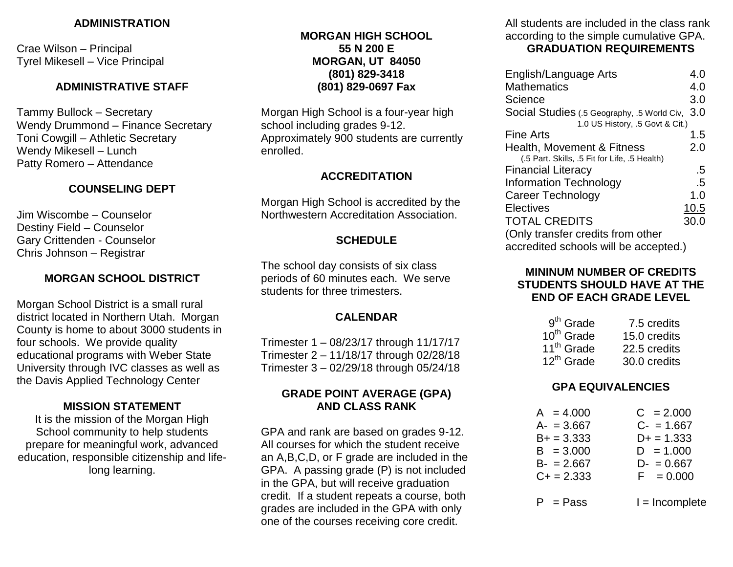### **ADMINISTRATION**

Crae Wilson – Principal Tyrel Mikesell – Vice Principal

### **ADMINISTRATIVE STAFF**

Tammy Bullock – Secretary Wendy Drummond – Finance Secretary Toni Cowgill – Athletic Secretary Wendy Mikesell – Lunch Patty Romero – Attendance

# **COUNSELING DEPT**

Jim Wiscombe – Counselor Destiny Field – Counselor Gary Crittenden - Counselor Chris Johnson – Registrar

# **MORGAN SCHOOL DISTRICT**

Morgan School District is a small rural district located in Northern Utah. Morgan County is home to about 3000 students in four schools. We provide quality educational programs with Weber State University through IVC classes as well as the Davis Applied Technology Center

### **MISSION STATEMENT**

It is the mission of the Morgan High School community to help students prepare for meaningful work, advanced education, responsible citizenship and lifelong learning.

## **MORGAN HIGH SCHOOL 55 N 200 E MORGAN, UT 84050 (801) 829-3418 (801) 829-0697 Fax**

Morgan High School is a four-year high school including grades 9-12. Approximately 900 students are currently enrolled.

### **ACCREDITATION**

Morgan High School is accredited by the Northwestern Accreditation Association.

### **SCHEDULE**

The school day consists of six class periods of 60 minutes each. We serve students for three trimesters.

### **CALENDAR**

Trimester 1 – 08/23/17 through 11/17/17 Trimester 2 – 11/18/17 through 02/28/18 Trimester 3 – 02/29/18 through 05/24/18

## **GRADE POINT AVERAGE (GPA) AND CLASS RANK**

GPA and rank are based on grades 9-12. All courses for which the student receive an A,B,C,D, or F grade are included in the GPA. A passing grade (P) is not included in the GPA, but will receive graduation credit. If a student repeats a course, both grades are included in the GPA with only one of the courses receiving core credit.

All students are included in the class rank according to the simple cumulative GPA. **GRADUATION REQUIREMENTS**

| English/Language Arts                         | 4.0  |
|-----------------------------------------------|------|
| <b>Mathematics</b>                            | 4.0  |
| Science                                       | 3.0  |
| Social Studies (.5 Geography, .5 World Civ,   | 3.0  |
| 1.0 US History, .5 Govt & Cit.)               |      |
| Fine Arts                                     | 1.5  |
| Health, Movement & Fitness                    | 2.0  |
| (.5 Part. Skills, .5 Fit for Life, .5 Health) |      |
| <b>Financial Literacy</b>                     | .5   |
| <b>Information Technology</b>                 | .5   |
| <b>Career Technology</b>                      | 1.0  |
| <b>Electives</b>                              | 10.5 |
| <b>TOTAL CREDITS</b>                          | 30.0 |
| (Only transfer credits from other             |      |
| accredited schools will be accepted.)         |      |

## **MININUM NUMBER OF CREDITS STUDENTS SHOULD HAVE AT THE END OF EACH GRADE LEVEL**

| $9th$ Grade            | 7.5 credits  |
|------------------------|--------------|
| $10th$ Grade           | 15.0 credits |
| 11 <sup>th</sup> Grade | 22.5 credits |
| $12^{th}$ Grade        | 30.0 credits |

### **GPA EQUIVALENCIES**

| $A = 4.000$  | $C = 2.000$      |
|--------------|------------------|
| $A - 3.667$  | $C - 1.667$      |
| $B+ = 3.333$ | $D+ = 1.333$     |
| $B = 3.000$  | $D = 1.000$      |
| $B - 2.667$  | $D - = 0.667$    |
| $C + 2.333$  | $F = 0.000$      |
| $P = P$ ass  | $l = Incomplete$ |